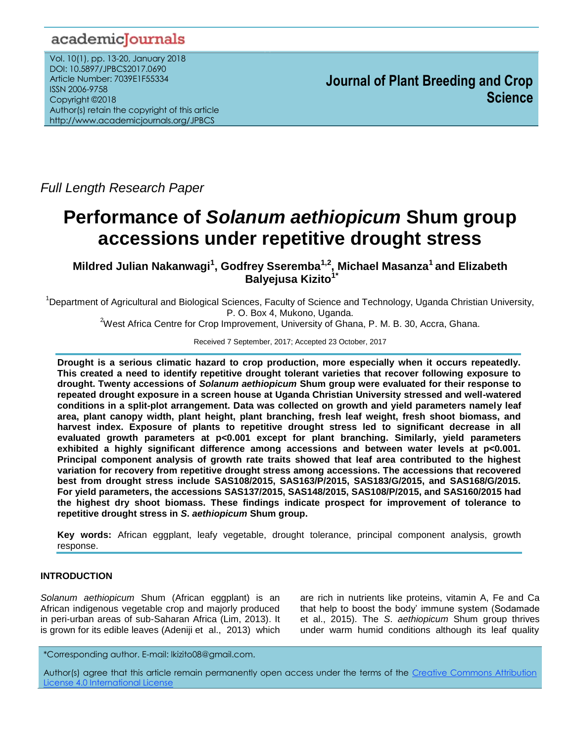## academicJournals

Vol. 10(1), pp. 13-20, January 2018 DOI: 10.5897/JPBCS2017.0690 Article Number: 7039E1F55334 ISSN 2006-9758 Copyright ©2018 Author(s) retain the copyright of this article http://www.academicjournals.org/JPBCS

*Full Length Research Paper*

# **Performance of** *Solanum aethiopicum* **Shum group accessions under repetitive drought stress**

**Mildred Julian Nakanwagi<sup>1</sup> , Godfrey Sseremba1,2, Michael Masanza<sup>1</sup>and Elizabeth Balyejusa Kizito1\***

<sup>1</sup>Department of Agricultural and Biological Sciences, Faculty of Science and Technology, Uganda Christian University, P. O. Box 4, Mukono, Uganda.

<sup>2</sup>West Africa Centre for Crop Improvement, University of Ghana, P. M. B. 30, Accra, Ghana.

Received 7 September, 2017; Accepted 23 October, 2017

**Drought is a serious climatic hazard to crop production, more especially when it occurs repeatedly. This created a need to identify repetitive drought tolerant varieties that recover following exposure to drought. Twenty accessions of** *Solanum aethiopicum* **Shum group were evaluated for their response to repeated drought exposure in a screen house at Uganda Christian University stressed and well-watered conditions in a split-plot arrangement. Data was collected on growth and yield parameters namely leaf area, plant canopy width, plant height, plant branching, fresh leaf weight, fresh shoot biomass, and harvest index. Exposure of plants to repetitive drought stress led to significant decrease in all evaluated growth parameters at p<0.001 except for plant branching. Similarly, yield parameters exhibited a highly significant difference among accessions and between water levels at p<0.001. Principal component analysis of growth rate traits showed that leaf area contributed to the highest variation for recovery from repetitive drought stress among accessions. The accessions that recovered best from drought stress include SAS108/2015, SAS163/P/2015, SAS183/G/2015, and SAS168/G/2015. For yield parameters, the accessions SAS137/2015, SAS148/2015, SAS108/P/2015, and SAS160/2015 had the highest dry shoot biomass. These findings indicate prospect for improvement of tolerance to repetitive drought stress in** *S***.** *aethiopicum* **Shum group.** 

**Key words:** African eggplant, leafy vegetable, drought tolerance, principal component analysis, growth response.

## **INTRODUCTION**

*Solanum aethiopicum* Shum (African eggplant) is an African indigenous vegetable crop and majorly produced in peri-urban areas of sub-Saharan Africa (Lim, 2013). It is grown for its edible leaves (Adeniji et al., 2013) which

are rich in nutrients like proteins, vitamin A, Fe and Ca that help to boost the body' immune system (Sodamade et al., 2015). The *S*. *aethiopicum* Shum group thrives under warm humid conditions although its leaf quality

\*Corresponding author. E-mail: lkizito08@gmail.com.

Author(s) agree that this article remain permanently open access under the terms of the [Creative Commons Attribution](http://creativecommons.org/licenses/by/4.0/deed.en_US)  [License 4.0 International License](http://creativecommons.org/licenses/by/4.0/deed.en_US)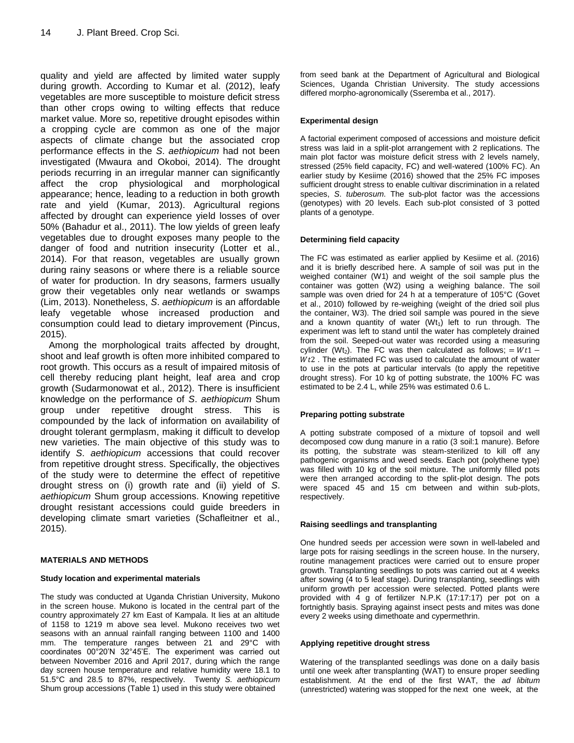quality and yield are affected by limited water supply during growth. According to Kumar et al. (2012), leafy vegetables are more susceptible to moisture deficit stress than other crops owing to wilting effects that reduce market value. More so, repetitive drought episodes within a cropping cycle are common as one of the major aspects of climate change but the associated crop performance effects in the *S*. *aethiopicum* had not been investigated (Mwaura and Okoboi, 2014). The drought periods recurring in an irregular manner can significantly affect the crop physiological and morphological appearance; hence, leading to a reduction in both growth rate and yield (Kumar, 2013). Agricultural regions affected by drought can experience yield losses of over 50% (Bahadur et al., 2011). The low yields of green leafy vegetables due to drought exposes many people to the danger of food and nutrition insecurity (Lotter et al., 2014). For that reason, vegetables are usually grown during rainy seasons or where there is a reliable source of water for production. In dry seasons, farmers usually grow their vegetables only near wetlands or swamps (Lim, 2013). Nonetheless, *S*. *aethiopicum* is an affordable leafy vegetable whose increased production and consumption could lead to dietary improvement (Pincus, 2015).

Among the morphological traits affected by drought, shoot and leaf growth is often more inhibited compared to root growth. This occurs as a result of impaired mitosis of cell thereby reducing plant height, leaf area and crop growth (Sudarmonowat et al., 2012). There is insufficient knowledge on the performance of *S*. *aethiopicum* Shum group under repetitive drought stress. This is compounded by the lack of information on availability of drought tolerant germplasm, making it difficult to develop new varieties. The main objective of this study was to identify *S*. *aethiopicum* accessions that could recover from repetitive drought stress. Specifically, the objectives of the study were to determine the effect of repetitive drought stress on (i) growth rate and (ii) yield of *S*. *aethiopicum* Shum group accessions. Knowing repetitive drought resistant accessions could guide breeders in developing climate smart varieties (Schafleitner et al., 2015).

## **MATERIALS AND METHODS**

## **Study location and experimental materials**

The study was conducted at Uganda Christian University, Mukono in the screen house. Mukono is located in the central part of the country approximately 27 km East of Kampala. It lies at an altitude of 1158 to 1219 m above sea level. Mukono receives two wet seasons with an annual rainfall ranging between 1100 and 1400 mm. The temperature ranges between 21 and 29°C with coordinates 00°20'N 32°45'E. The experiment was carried out between November 2016 and April 2017, during which the range day screen house temperature and relative humidity were 18.1 to 51.5°C and 28.5 to 87%, respectively. Twenty *S. aethiopicum* Shum group accessions (Table 1) used in this study were obtained

from seed bank at the Department of Agricultural and Biological Sciences, Uganda Christian University. The study accessions differed morpho-agronomically (Sseremba et al., 2017).

#### **Experimental design**

A factorial experiment composed of accessions and moisture deficit stress was laid in a split-plot arrangement with 2 replications. The main plot factor was moisture deficit stress with 2 levels namely, stressed (25% field capacity, FC) and well-watered (100% FC). An earlier study by Kesiime (2016) showed that the 25% FC imposes sufficient drought stress to enable cultivar discrimination in a related species, *S*. *tuberosum*. The sub-plot factor was the accessions (genotypes) with 20 levels. Each sub-plot consisted of 3 potted plants of a genotype.

#### **Determining field capacity**

The FC was estimated as earlier applied by Kesiime et al. (2016) and it is briefly described here. A sample of soil was put in the weighed container (W1) and weight of the soil sample plus the container was gotten (W2) using a weighing balance. The soil sample was oven dried for 24 h at a temperature of 105°C (Govet et al., 2010) followed by re-weighing (weight of the dried soil plus the container, W3). The dried soil sample was poured in the sieve and a known quantity of water  $(Wt_1)$  left to run through. The experiment was left to stand until the water has completely drained from the soil. Seeped-out water was recorded using a measuring cylinder (Wt<sub>2</sub>). The FC was then calculated as follows; =  $Wt1$  - $Wt2$ . The estimated FC was used to calculate the amount of water to use in the pots at particular intervals (to apply the repetitive drought stress). For 10 kg of potting substrate, the 100% FC was estimated to be 2.4 L, while 25% was estimated 0.6 L.

#### **Preparing potting substrate**

A potting substrate composed of a mixture of topsoil and well decomposed cow dung manure in a ratio (3 soil:1 manure). Before its potting, the substrate was steam-sterilized to kill off any pathogenic organisms and weed seeds. Each pot (polythene type) was filled with 10 kg of the soil mixture. The uniformly filled pots were then arranged according to the split-plot design. The pots were spaced 45 and 15 cm between and within sub-plots, respectively.

#### **Raising seedlings and transplanting**

One hundred seeds per accession were sown in well-labeled and large pots for raising seedlings in the screen house. In the nursery, routine management practices were carried out to ensure proper growth. Transplanting seedlings to pots was carried out at 4 weeks after sowing (4 to 5 leaf stage). During transplanting, seedlings with uniform growth per accession were selected. Potted plants were provided with 4 g of fertilizer N.P.K (17:17:17) per pot on a fortnightly basis. Spraying against insect pests and mites was done every 2 weeks using dimethoate and cypermethrin.

#### **Applying repetitive drought stress**

Watering of the transplanted seedlings was done on a daily basis until one week after transplanting (WAT) to ensure proper seedling establishment. At the end of the first WAT, the *ad libitum* (unrestricted) watering was stopped for the next one week, at the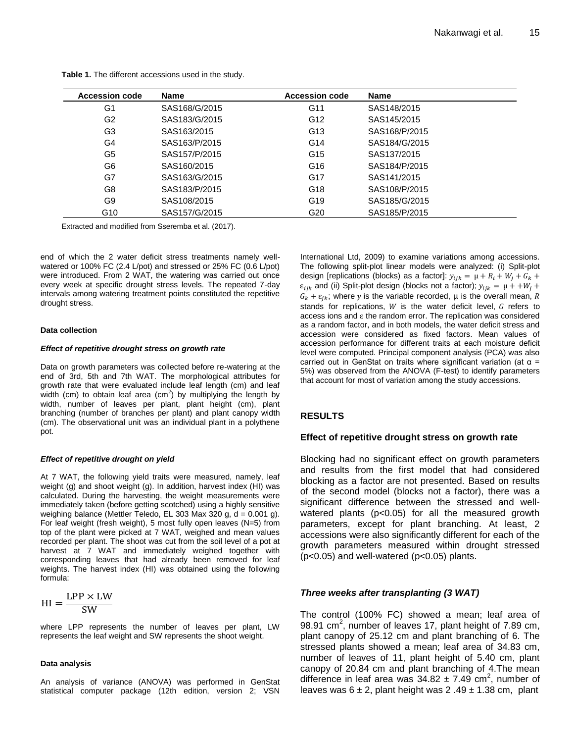| <b>Accession code</b> | Name          | <b>Accession code</b> | <b>Name</b>   |
|-----------------------|---------------|-----------------------|---------------|
| G1                    | SAS168/G/2015 | G11                   | SAS148/2015   |
| G <sub>2</sub>        | SAS183/G/2015 | G12                   | SAS145/2015   |
| G3                    | SAS163/2015   | G <sub>13</sub>       | SAS168/P/2015 |
| G4                    | SAS163/P/2015 | G14                   | SAS184/G/2015 |
| G5                    | SAS157/P/2015 | G15                   | SAS137/2015   |
| G6                    | SAS160/2015   | G16                   | SAS184/P/2015 |
| G7                    | SAS163/G/2015 | G17                   | SAS141/2015   |
| G8                    | SAS183/P/2015 | G18                   | SAS108/P/2015 |
| G9                    | SAS108/2015   | G19                   | SAS185/G/2015 |
| G <sub>10</sub>       | SAS157/G/2015 | G <sub>20</sub>       | SAS185/P/2015 |

**Table 1.** The different accessions used in the study.

Extracted and modified from Sseremba et al. (2017).

end of which the 2 water deficit stress treatments namely wellwatered or 100% FC (2.4 L/pot) and stressed or 25% FC (0.6 L/pot) were introduced. From 2 WAT, the watering was carried out once every week at specific drought stress levels. The repeated 7-day intervals among watering treatment points constituted the repetitive drought stress.

#### **Data collection**

#### *Effect of repetitive drought stress on growth rate*

Data on growth parameters was collected before re-watering at the end of 3rd, 5th and 7th WAT. The morphological attributes for growth rate that were evaluated include leaf length (cm) and leaf width (cm) to obtain leaf area (cm<sup>2</sup>) by multiplying the length by width, number of leaves per plant, plant height (cm), plant branching (number of branches per plant) and plant canopy width (cm). The observational unit was an individual plant in a polythene pot.

## *Effect of repetitive drought on yield*

At 7 WAT, the following yield traits were measured, namely, leaf weight (g) and shoot weight (g). In addition, harvest index (HI) was calculated. During the harvesting, the weight measurements were immediately taken (before getting scotched) using a highly sensitive weighing balance (Mettler Teledo, EL 303 Max 320 g,  $d = 0.001$  g). For leaf weight (fresh weight), 5 most fully open leaves (N=5) from top of the plant were picked at 7 WAT, weighed and mean values recorded per plant. The shoot was cut from the soil level of a pot at harvest at 7 WAT and immediately weighed together with corresponding leaves that had already been removed for leaf weights. The harvest index (HI) was obtained using the following formula:

$$
HI = \frac{LPP \times LW}{SW}
$$

where LPP represents the number of leaves per plant, LW represents the leaf weight and SW represents the shoot weight.

#### **Data analysis**

An analysis of variance (ANOVA) was performed in GenStat statistical computer package (12th edition, version 2; VSN

International Ltd, 2009) to examine variations among accessions. The following split-plot linear models were analyzed: (i) Split-plot design [replications (blocks) as a factor]:  $y_{ijk} = \mu + R_i + W_j + G_k +$  $\varepsilon_{ijk}$  and (ii) Split-plot design (blocks not a factor);  $y_{ijk} = \mu + \mu W_i + \mu$  $G_k + \varepsilon_{ik}$ ; where y is the variable recorded,  $\mu$  is the overall mean, R stands for replications,  $W$  is the water deficit level,  $G$  refers to access ions and  $\epsilon$  the random error. The replication was considered as a random factor, and in both models, the water deficit stress and accession were considered as fixed factors. Mean values of accession performance for different traits at each moisture deficit level were computed. Principal component analysis (PCA) was also carried out in GenStat on traits where significant variation (at  $\alpha$  = 5%) was observed from the ANOVA (F-test) to identify parameters that account for most of variation among the study accessions.

#### **RESULTS**

#### **Effect of repetitive drought stress on growth rate**

Blocking had no significant effect on growth parameters and results from the first model that had considered blocking as a factor are not presented. Based on results of the second model (blocks not a factor), there was a significant difference between the stressed and wellwatered plants (p<0.05) for all the measured growth parameters, except for plant branching. At least, 2 accessions were also significantly different for each of the growth parameters measured within drought stressed (p<0.05) and well-watered (p<0.05) plants.

#### *Three weeks after transplanting (3 WAT)*

The control (100% FC) showed a mean; leaf area of 98.91 cm<sup>2</sup>, number of leaves 17, plant height of 7.89 cm, plant canopy of 25.12 cm and plant branching of 6. The stressed plants showed a mean; leaf area of 34.83 cm, number of leaves of 11, plant height of 5.40 cm, plant canopy of 20.84 cm and plant branching of 4.The mean difference in leaf area was  $34.82 \pm 7.49$  cm<sup>2</sup>, number of leaves was  $6 \pm 2$ , plant height was  $2.49 \pm 1.38$  cm, plant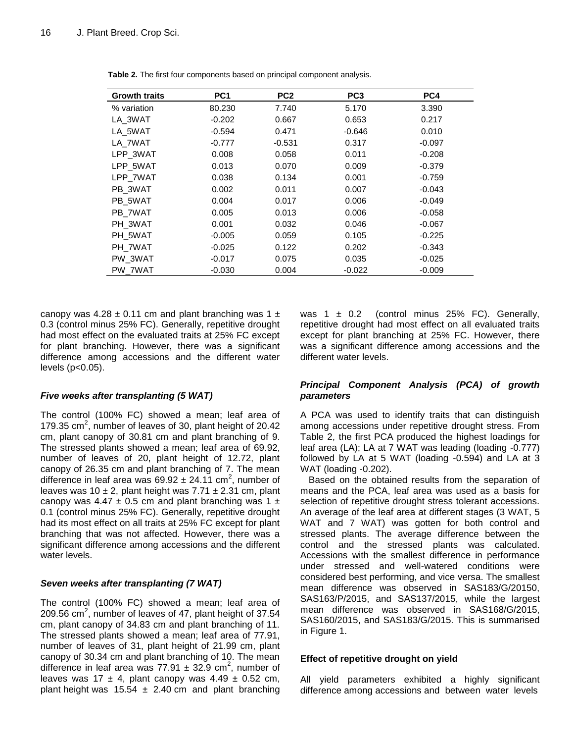| <b>Growth traits</b> | PC <sub>1</sub> | PC <sub>2</sub> | PC <sub>3</sub> | PC4      |
|----------------------|-----------------|-----------------|-----------------|----------|
| % variation          | 80.230          | 7.740           | 5.170           | 3.390    |
| LA 3WAT              | $-0.202$        | 0.667           | 0.653           | 0.217    |
| LA 5WAT              | $-0.594$        | 0.471           | $-0.646$        | 0.010    |
| LA 7WAT              | $-0.777$        | $-0.531$        | 0.317           | $-0.097$ |
| LPP_3WAT             | 0.008           | 0.058           | 0.011           | $-0.208$ |
| LPP 5WAT             | 0.013           | 0.070           | 0.009           | $-0.379$ |
| LPP_7WAT             | 0.038           | 0.134           | 0.001           | $-0.759$ |
| PB 3WAT              | 0.002           | 0.011           | 0.007           | $-0.043$ |
| PB 5WAT              | 0.004           | 0.017           | 0.006           | $-0.049$ |
| PB 7WAT              | 0.005           | 0.013           | 0.006           | $-0.058$ |
| PH 3WAT              | 0.001           | 0.032           | 0.046           | $-0.067$ |
| PH 5WAT              | $-0.005$        | 0.059           | 0.105           | $-0.225$ |
| PH 7WAT              | $-0.025$        | 0.122           | 0.202           | $-0.343$ |
| PW 3WAT              | $-0.017$        | 0.075           | 0.035           | $-0.025$ |
| PW_7WAT              | $-0.030$        | 0.004           | $-0.022$        | $-0.009$ |

**Table 2.** The first four components based on principal component analysis.

canopy was  $4.28 \pm 0.11$  cm and plant branching was  $1 \pm$ 0.3 (control minus 25% FC). Generally, repetitive drought had most effect on the evaluated traits at 25% FC except for plant branching. However, there was a significant difference among accessions and the different water levels (p<0.05).

## *Five weeks after transplanting (5 WAT)*

The control (100% FC) showed a mean; leaf area of 179.35  $cm<sup>2</sup>$ , number of leaves of 30, plant height of 20.42 cm, plant canopy of 30.81 cm and plant branching of 9. The stressed plants showed a mean; leaf area of 69.92, number of leaves of 20, plant height of 12.72, plant canopy of 26.35 cm and plant branching of 7. The mean difference in leaf area was  $69.92 \pm 24.11$  cm<sup>2</sup>, number of leaves was 10  $\pm$  2, plant height was 7.71  $\pm$  2.31 cm, plant canopy was 4.47  $\pm$  0.5 cm and plant branching was 1  $\pm$ 0.1 (control minus 25% FC). Generally, repetitive drought had its most effect on all traits at 25% FC except for plant branching that was not affected. However, there was a significant difference among accessions and the different water levels.

## *Seven weeks after transplanting (7 WAT)*

The control (100% FC) showed a mean; leaf area of 209.56 cm<sup>2</sup>, number of leaves of 47, plant height of 37.54 cm, plant canopy of 34.83 cm and plant branching of 11. The stressed plants showed a mean; leaf area of 77.91, number of leaves of 31, plant height of 21.99 cm, plant canopy of 30.34 cm and plant branching of 10. The mean difference in leaf area was  $77.91 \pm 32.9$  cm<sup>2</sup>, number of leaves was  $17 \pm 4$ , plant canopy was  $4.49 \pm 0.52$  cm, plant height was  $15.54 \pm 2.40$  cm and plant branching

was 1  $\pm$  0.2 (control minus 25% FC). Generally, repetitive drought had most effect on all evaluated traits except for plant branching at 25% FC. However, there was a significant difference among accessions and the different water levels.

## *Principal Component Analysis (PCA) of growth parameters*

A PCA was used to identify traits that can distinguish among accessions under repetitive drought stress. From Table 2, the first PCA produced the highest loadings for leaf area (LA); LA at 7 WAT was leading (loading -0.777) followed by LA at 5 WAT (loading -0.594) and LA at 3 WAT (loading -0.202).

Based on the obtained results from the separation of means and the PCA, leaf area was used as a basis for selection of repetitive drought stress tolerant accessions. An average of the leaf area at different stages (3 WAT, 5 WAT and 7 WAT) was gotten for both control and stressed plants. The average difference between the control and the stressed plants was calculated. Accessions with the smallest difference in performance under stressed and well-watered conditions were considered best performing, and vice versa. The smallest mean difference was observed in SAS183/G/20150, SAS163/P/2015, and SAS137/2015, while the largest mean difference was observed in SAS168/G/2015, SAS160/2015, and SAS183/G/2015. This is summarised in Figure 1.

## **Effect of repetitive drought on yield**

All yield parameters exhibited a highly significant difference among accessions and between water levels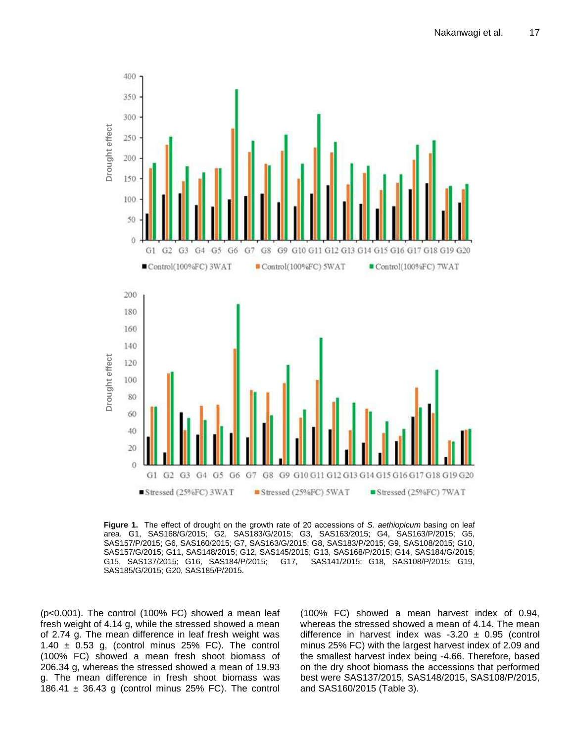

**Figure 1.** The effect of drought on the growth rate of 20 accessions of *S. aethiopicum* basing on leaf area. G1, SAS168/G/2015; G2, SAS183/G/2015; G3, SAS163/2015; G4, SAS163/P/2015; G5, SAS157/P/2015; G6, SAS160/2015; G7, SAS163/G/2015; G8, SAS183/P/2015; G9, SAS108/2015; G10, SAS157/G/2015; G11, SAS148/2015; G12, SAS145/2015; G13, SAS168/P/2015; G14, SAS184/G/2015; G15, SAS137/2015; G16, SAS184/P/2015; G17, SAS141/2015; G18, SAS108/P/2015; G19, SAS185/G/2015; G20, SAS185/P/2015.

(p<0.001). The control (100% FC) showed a mean leaf fresh weight of 4.14 g, while the stressed showed a mean of 2.74 g. The mean difference in leaf fresh weight was 1.40  $\pm$  0.53 g, (control minus 25% FC). The control (100% FC) showed a mean fresh shoot biomass of 206.34 g, whereas the stressed showed a mean of 19.93 g. The mean difference in fresh shoot biomass was 186.41  $\pm$  36.43 g (control minus 25% FC). The control

(100% FC) showed a mean harvest index of 0.94, whereas the stressed showed a mean of 4.14. The mean difference in harvest index was -3.20  $\pm$  0.95 (control minus 25% FC) with the largest harvest index of 2.09 and the smallest harvest index being -4.66. Therefore, based on the dry shoot biomass the accessions that performed best were SAS137/2015, SAS148/2015, SAS108/P/2015, and SAS160/2015 (Table 3).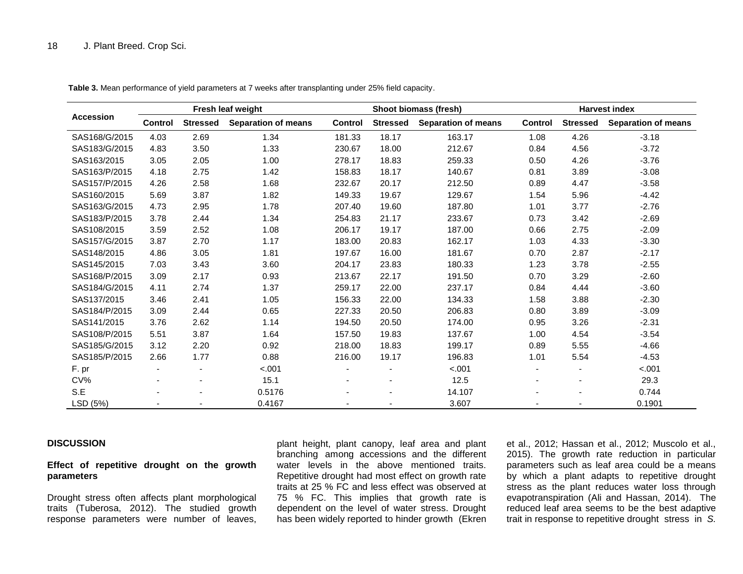| <b>Accession</b> | Fresh leaf weight        |                 | Shoot biomass (fresh)      |                |                          | <b>Harvest index</b>       |         |                          |                            |
|------------------|--------------------------|-----------------|----------------------------|----------------|--------------------------|----------------------------|---------|--------------------------|----------------------------|
|                  | <b>Control</b>           | <b>Stressed</b> | <b>Separation of means</b> | <b>Control</b> | <b>Stressed</b>          | <b>Separation of means</b> | Control | <b>Stressed</b>          | <b>Separation of means</b> |
| SAS168/G/2015    | 4.03                     | 2.69            | 1.34                       | 181.33         | 18.17                    | 163.17                     | 1.08    | 4.26                     | $-3.18$                    |
| SAS183/G/2015    | 4.83                     | 3.50            | 1.33                       | 230.67         | 18.00                    | 212.67                     | 0.84    | 4.56                     | $-3.72$                    |
| SAS163/2015      | 3.05                     | 2.05            | 1.00                       | 278.17         | 18.83                    | 259.33                     | 0.50    | 4.26                     | $-3.76$                    |
| SAS163/P/2015    | 4.18                     | 2.75            | 1.42                       | 158.83         | 18.17                    | 140.67                     | 0.81    | 3.89                     | $-3.08$                    |
| SAS157/P/2015    | 4.26                     | 2.58            | 1.68                       | 232.67         | 20.17                    | 212.50                     | 0.89    | 4.47                     | $-3.58$                    |
| SAS160/2015      | 5.69                     | 3.87            | 1.82                       | 149.33         | 19.67                    | 129.67                     | 1.54    | 5.96                     | $-4.42$                    |
| SAS163/G/2015    | 4.73                     | 2.95            | 1.78                       | 207.40         | 19.60                    | 187.80                     | 1.01    | 3.77                     | $-2.76$                    |
| SAS183/P/2015    | 3.78                     | 2.44            | 1.34                       | 254.83         | 21.17                    | 233.67                     | 0.73    | 3.42                     | $-2.69$                    |
| SAS108/2015      | 3.59                     | 2.52            | 1.08                       | 206.17         | 19.17                    | 187.00                     | 0.66    | 2.75                     | $-2.09$                    |
| SAS157/G/2015    | 3.87                     | 2.70            | 1.17                       | 183.00         | 20.83                    | 162.17                     | 1.03    | 4.33                     | $-3.30$                    |
| SAS148/2015      | 4.86                     | 3.05            | 1.81                       | 197.67         | 16.00                    | 181.67                     | 0.70    | 2.87                     | $-2.17$                    |
| SAS145/2015      | 7.03                     | 3.43            | 3.60                       | 204.17         | 23.83                    | 180.33                     | 1.23    | 3.78                     | $-2.55$                    |
| SAS168/P/2015    | 3.09                     | 2.17            | 0.93                       | 213.67         | 22.17                    | 191.50                     | 0.70    | 3.29                     | $-2.60$                    |
| SAS184/G/2015    | 4.11                     | 2.74            | 1.37                       | 259.17         | 22.00                    | 237.17                     | 0.84    | 4.44                     | $-3.60$                    |
| SAS137/2015      | 3.46                     | 2.41            | 1.05                       | 156.33         | 22.00                    | 134.33                     | 1.58    | 3.88                     | $-2.30$                    |
| SAS184/P/2015    | 3.09                     | 2.44            | 0.65                       | 227.33         | 20.50                    | 206.83                     | 0.80    | 3.89                     | $-3.09$                    |
| SAS141/2015      | 3.76                     | 2.62            | 1.14                       | 194.50         | 20.50                    | 174.00                     | 0.95    | 3.26                     | $-2.31$                    |
| SAS108/P/2015    | 5.51                     | 3.87            | 1.64                       | 157.50         | 19.83                    | 137.67                     | 1.00    | 4.54                     | $-3.54$                    |
| SAS185/G/2015    | 3.12                     | 2.20            | 0.92                       | 218.00         | 18.83                    | 199.17                     | 0.89    | 5.55                     | $-4.66$                    |
| SAS185/P/2015    | 2.66                     | 1.77            | 0.88                       | 216.00         | 19.17                    | 196.83                     | 1.01    | 5.54                     | $-4.53$                    |
| F. pr            | $\overline{\phantom{a}}$ |                 | $-.001$                    |                | $\overline{\phantom{a}}$ | $-.001$                    |         | $\overline{\phantom{a}}$ | $-.001$                    |
| CV%              |                          |                 | 15.1                       |                | $\overline{\phantom{a}}$ | 12.5                       |         |                          | 29.3                       |
| S.E              |                          |                 | 0.5176                     |                |                          | 14.107                     |         |                          | 0.744                      |
| LSD (5%)         |                          |                 | 0.4167                     |                |                          | 3.607                      |         |                          | 0.1901                     |

**Table 3.** Mean performance of yield parameters at 7 weeks after transplanting under 25% field capacity.

#### **DISCUSSION**

## **Effect of repetitive drought on the growth parameters**

Drought stress often affects plant morphological traits (Tuberosa, 2012). The studied growth response parameters were number of leaves,

plant height, plant canopy, leaf area and plant branching among accessions and the different water levels in the above mentioned traits. Repetitive drought had most effect on growth rate traits at 25 % FC and less effect was observed at 75 % FC. This implies that growth rate is dependent on the level of water stress. Drought has been widely reported to hinder growth (Ekren et al., 2012; Hassan et al., 2012; Muscolo et al., 2015). The growth rate reduction in particular parameters such as leaf area could be a means by which a plant adapts to repetitive drought stress as the plant reduces water loss through evapotranspiration (Ali and Hassan, 2014). The reduced leaf area seems to be the best adaptive trait in response to repetitive drought stress in *S.*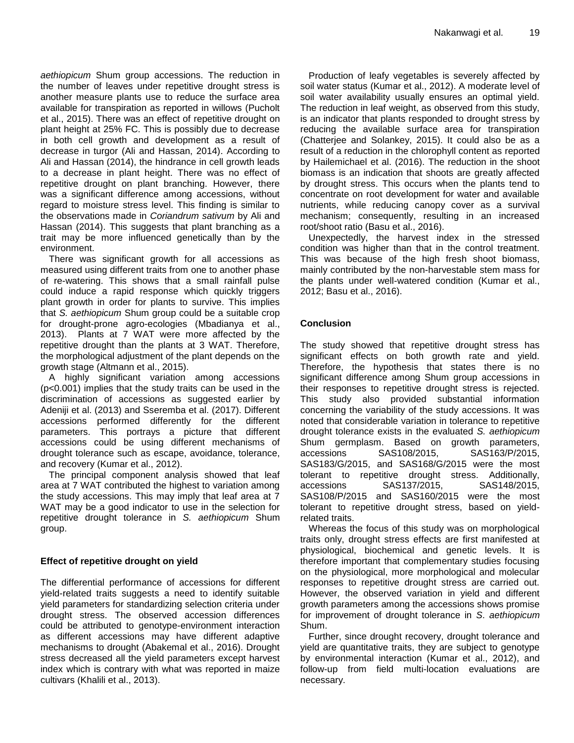*aethiopicum* Shum group accessions. The reduction in the number of leaves under repetitive drought stress is another measure plants use to reduce the surface area available for transpiration as reported in willows (Pucholt et al., 2015). There was an effect of repetitive drought on plant height at 25% FC. This is possibly due to decrease in both cell growth and development as a result of decrease in turgor (Ali and Hassan, 2014). According to Ali and Hassan (2014), the hindrance in cell growth leads to a decrease in plant height. There was no effect of repetitive drought on plant branching. However, there was a significant difference among accessions, without regard to moisture stress level. This finding is similar to the observations made in *Coriandrum sativum* by Ali and Hassan (2014). This suggests that plant branching as a trait may be more influenced genetically than by the environment.

There was significant growth for all accessions as measured using different traits from one to another phase of re-watering. This shows that a small rainfall pulse could induce a rapid response which quickly triggers plant growth in order for plants to survive. This implies that *S. aethiopicum* Shum group could be a suitable crop for drought-prone agro-ecologies (Mbadianya et al., 2013). Plants at 7 WAT were more affected by the repetitive drought than the plants at 3 WAT. Therefore, the morphological adjustment of the plant depends on the growth stage (Altmann et al., 2015).

A highly significant variation among accessions (p<0.001) implies that the study traits can be used in the discrimination of accessions as suggested earlier by Adeniji et al. (2013) and Sseremba et al. (2017). Different accessions performed differently for the different parameters. This portrays a picture that different accessions could be using different mechanisms of drought tolerance such as escape, avoidance, tolerance, and recovery (Kumar et al., 2012).

The principal component analysis showed that leaf area at 7 WAT contributed the highest to variation among the study accessions. This may imply that leaf area at 7 WAT may be a good indicator to use in the selection for repetitive drought tolerance in *S. aethiopicum* Shum group.

## **Effect of repetitive drought on yield**

The differential performance of accessions for different yield-related traits suggests a need to identify suitable yield parameters for standardizing selection criteria under drought stress. The observed accession differences could be attributed to genotype-environment interaction as different accessions may have different adaptive mechanisms to drought (Abakemal et al., 2016). Drought stress decreased all the yield parameters except harvest index which is contrary with what was reported in maize cultivars (Khalili et al., 2013).

Production of leafy vegetables is severely affected by soil water status (Kumar et al., 2012). A moderate level of soil water availability usually ensures an optimal yield. The reduction in leaf weight, as observed from this study, is an indicator that plants responded to drought stress by reducing the available surface area for transpiration (Chatterjee and Solankey, 2015). It could also be as a result of a reduction in the chlorophyll content as reported by Hailemichael et al. (2016). The reduction in the shoot biomass is an indication that shoots are greatly affected by drought stress. This occurs when the plants tend to concentrate on root development for water and available nutrients, while reducing canopy cover as a survival mechanism; consequently, resulting in an increased root/shoot ratio (Basu et al., 2016).

Unexpectedly, the harvest index in the stressed condition was higher than that in the control treatment. This was because of the high fresh shoot biomass, mainly contributed by the non-harvestable stem mass for the plants under well-watered condition (Kumar et al., 2012; Basu et al., 2016).

## **Conclusion**

The study showed that repetitive drought stress has significant effects on both growth rate and yield. Therefore, the hypothesis that states there is no significant difference among Shum group accessions in their responses to repetitive drought stress is rejected. This study also provided substantial information concerning the variability of the study accessions. It was noted that considerable variation in tolerance to repetitive drought tolerance exists in the evaluated *S. aethiopicum* Shum germplasm. Based on growth parameters, accessions SAS108/2015, SAS163/P/2015, SAS183/G/2015, and SAS168/G/2015 were the most tolerant to repetitive drought stress. Additionally, accessions SAS137/2015, SAS148/2015, SAS108/P/2015 and SAS160/2015 were the most tolerant to repetitive drought stress, based on yieldrelated traits.

Whereas the focus of this study was on morphological traits only, drought stress effects are first manifested at physiological, biochemical and genetic levels. It is therefore important that complementary studies focusing on the physiological, more morphological and molecular responses to repetitive drought stress are carried out. However, the observed variation in yield and different growth parameters among the accessions shows promise for improvement of drought tolerance in *S*. *aethiopicum* Shum.

Further, since drought recovery, drought tolerance and yield are quantitative traits, they are subject to genotype by environmental interaction (Kumar et al., 2012), and follow-up from field multi-location evaluations are necessary.